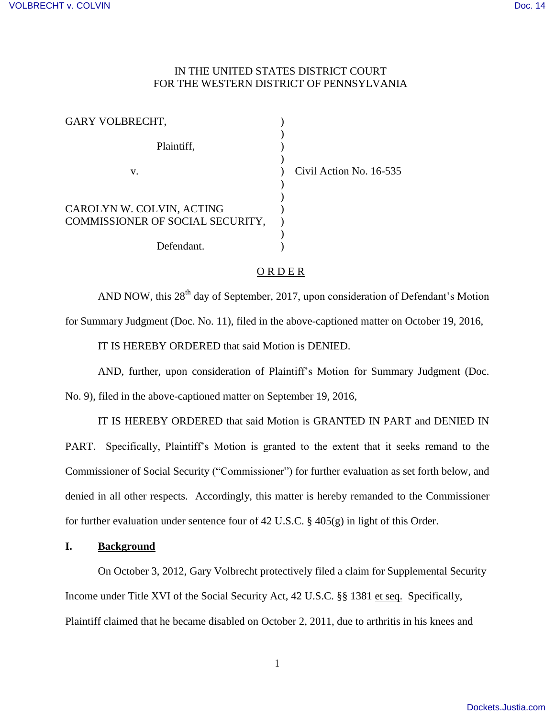# IN THE UNITED STATES DISTRICT COURT FOR THE WESTERN DISTRICT OF PENNSYLVANIA

No. 16-535

| <b>GARY VOLBRECHT,</b>                                        |              |
|---------------------------------------------------------------|--------------|
| Plaintiff,                                                    |              |
| v.                                                            | Civil Action |
|                                                               |              |
| CAROLYN W. COLVIN, ACTING<br>COMMISSIONER OF SOCIAL SECURITY, |              |
| Defendant.                                                    |              |

## ORDER

AND NOW, this 28<sup>th</sup> day of September, 2017, upon consideration of Defendant's Motion

for Summary Judgment (Doc. No. 11), filed in the above-captioned matter on October 19, 2016,

IT IS HEREBY ORDERED that said Motion is DENIED.

AND, further, upon consideration of Plaintiff's Motion for Summary Judgment (Doc.

No. 9), filed in the above-captioned matter on September 19, 2016,

IT IS HEREBY ORDERED that said Motion is GRANTED IN PART and DENIED IN PART. Specifically, Plaintiff's Motion is granted to the extent that it seeks remand to the Commissioner of Social Security ("Commissioner") for further evaluation as set forth below, and denied in all other respects. Accordingly, this matter is hereby remanded to the Commissioner for further evaluation under sentence four of 42 U.S.C. § 405(g) in light of this Order.

### **I. Background**

 On October 3, 2012, Gary Volbrecht protectively filed a claim for Supplemental Security Income under Title XVI of the Social Security Act, 42 U.S.C. §§ 1381 et seq. Specifically, Plaintiff claimed that he became disabled on October 2, 2011, due to arthritis in his knees and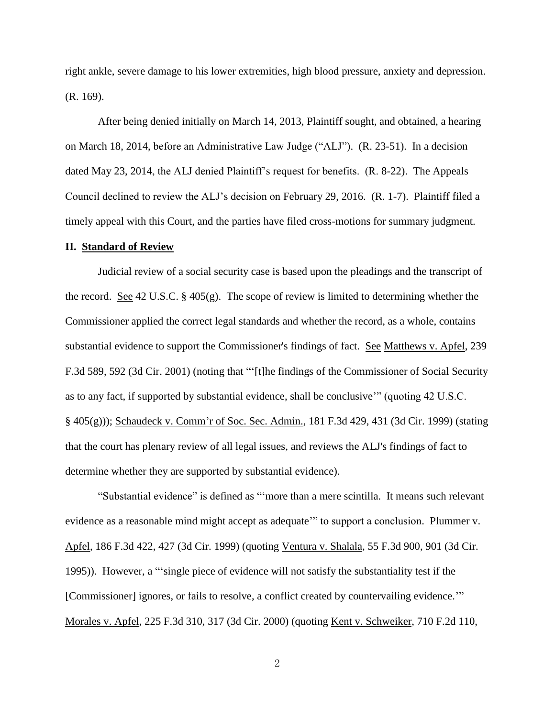right ankle, severe damage to his lower extremities, high blood pressure, anxiety and depression. (R. 169).

 After being denied initially on March 14, 2013, Plaintiff sought, and obtained, a hearing on March 18, 2014, before an Administrative Law Judge ("ALJ"). (R. 23-51). In a decision dated May 23, 2014, the ALJ denied Plaintiff's request for benefits. (R. 8-22). The Appeals Council declined to review the ALJ's decision on February 29, 2016. (R. 1-7). Plaintiff filed a timely appeal with this Court, and the parties have filed cross-motions for summary judgment.

### **II. Standard of Review**

Judicial review of a social security case is based upon the pleadings and the transcript of the record. See 42 U.S.C. § 405(g). The scope of review is limited to determining whether the Commissioner applied the correct legal standards and whether the record, as a whole, contains substantial evidence to support the Commissioner's findings of fact. See Matthews v. Apfel, 239 F.3d 589, 592 (3d Cir. 2001) (noting that "'[t]he findings of the Commissioner of Social Security as to any fact, if supported by substantial evidence, shall be conclusive'" (quoting 42 U.S.C. § 405(g))); Schaudeck v. Comm'r of Soc. Sec. Admin., 181 F.3d 429, 431 (3d Cir. 1999) (stating that the court has plenary review of all legal issues, and reviews the ALJ's findings of fact to determine whether they are supported by substantial evidence).

"Substantial evidence" is defined as "'more than a mere scintilla. It means such relevant evidence as a reasonable mind might accept as adequate<sup>201</sup> to support a conclusion. Plummer v. Apfel, 186 F.3d 422, 427 (3d Cir. 1999) (quoting Ventura v. Shalala, 55 F.3d 900, 901 (3d Cir. 1995)). However, a "'single piece of evidence will not satisfy the substantiality test if the [Commissioner] ignores, or fails to resolve, a conflict created by countervailing evidence." Morales v. Apfel, 225 F.3d 310, 317 (3d Cir. 2000) (quoting Kent v. Schweiker, 710 F.2d 110,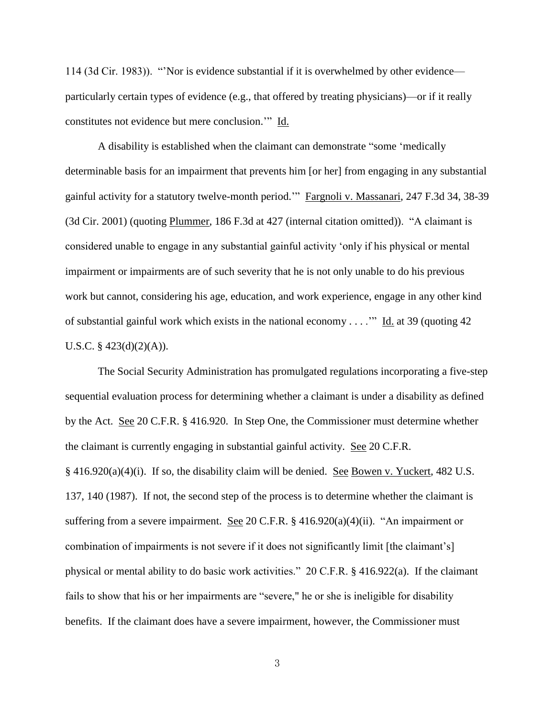114 (3d Cir. 1983)). "'Nor is evidence substantial if it is overwhelmed by other evidence particularly certain types of evidence (e.g., that offered by treating physicians)—or if it really constitutes not evidence but mere conclusion.'" Id.

 A disability is established when the claimant can demonstrate "some 'medically determinable basis for an impairment that prevents him [or her] from engaging in any substantial gainful activity for a statutory twelve-month period.'" Fargnoli v. Massanari, 247 F.3d 34, 38-39 (3d Cir. 2001) (quoting Plummer, 186 F.3d at 427 (internal citation omitted)). "A claimant is considered unable to engage in any substantial gainful activity 'only if his physical or mental impairment or impairments are of such severity that he is not only unable to do his previous work but cannot, considering his age, education, and work experience, engage in any other kind of substantial gainful work which exists in the national economy . . . .'" Id. at 39 (quoting 42 U.S.C. § 423(d)(2)(A)).

 The Social Security Administration has promulgated regulations incorporating a five-step sequential evaluation process for determining whether a claimant is under a disability as defined by the Act. See 20 C.F.R. § 416.920. In Step One, the Commissioner must determine whether the claimant is currently engaging in substantial gainful activity. See 20 C.F.R.  $§$  416.920(a)(4)(i). If so, the disability claim will be denied. See Bowen v. Yuckert, 482 U.S. 137, 140 (1987). If not, the second step of the process is to determine whether the claimant is suffering from a severe impairment. See 20 C.F.R.  $\S$  416.920(a)(4)(ii). "An impairment or combination of impairments is not severe if it does not significantly limit [the claimant's] physical or mental ability to do basic work activities." 20 C.F.R. § 416.922(a). If the claimant fails to show that his or her impairments are "severe," he or she is ineligible for disability benefits. If the claimant does have a severe impairment, however, the Commissioner must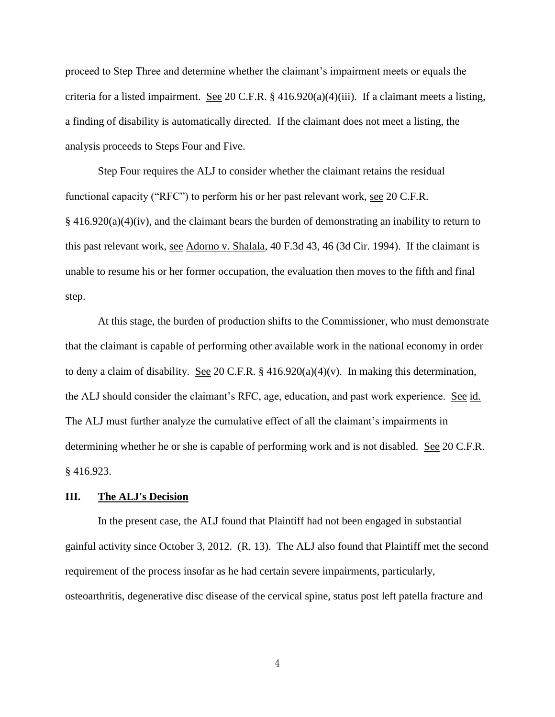proceed to Step Three and determine whether the claimant's impairment meets or equals the criteria for a listed impairment. See 20 C.F.R. § 416.920(a)(4)(iii). If a claimant meets a listing, a finding of disability is automatically directed. If the claimant does not meet a listing, the analysis proceeds to Steps Four and Five.

 Step Four requires the ALJ to consider whether the claimant retains the residual functional capacity ("RFC") to perform his or her past relevant work, see 20 C.F.R. § 416.920(a)(4)(iv), and the claimant bears the burden of demonstrating an inability to return to this past relevant work, see Adorno v. Shalala, 40 F.3d 43, 46 (3d Cir. 1994). If the claimant is unable to resume his or her former occupation, the evaluation then moves to the fifth and final step.

 At this stage, the burden of production shifts to the Commissioner, who must demonstrate that the claimant is capable of performing other available work in the national economy in order to deny a claim of disability. See 20 C.F.R.  $\S$  416.920(a)(4)(v). In making this determination, the ALJ should consider the claimant's RFC, age, education, and past work experience. See id. The ALJ must further analyze the cumulative effect of all the claimant's impairments in determining whether he or she is capable of performing work and is not disabled. See 20 C.F.R. § 416.923.

## **III. The ALJ's Decision**

 In the present case, the ALJ found that Plaintiff had not been engaged in substantial gainful activity since October 3, 2012. (R. 13). The ALJ also found that Plaintiff met the second requirement of the process insofar as he had certain severe impairments, particularly, osteoarthritis, degenerative disc disease of the cervical spine, status post left patella fracture and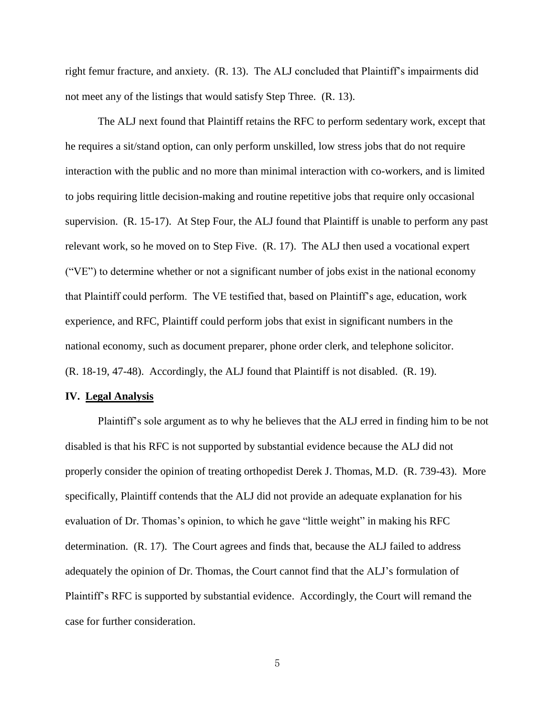right femur fracture, and anxiety. (R. 13). The ALJ concluded that Plaintiff's impairments did not meet any of the listings that would satisfy Step Three. (R. 13).

 The ALJ next found that Plaintiff retains the RFC to perform sedentary work, except that he requires a sit/stand option, can only perform unskilled, low stress jobs that do not require interaction with the public and no more than minimal interaction with co-workers, and is limited to jobs requiring little decision-making and routine repetitive jobs that require only occasional supervision. (R. 15-17). At Step Four, the ALJ found that Plaintiff is unable to perform any past relevant work, so he moved on to Step Five. (R. 17). The ALJ then used a vocational expert ("VE") to determine whether or not a significant number of jobs exist in the national economy that Plaintiff could perform. The VE testified that, based on Plaintiff's age, education, work experience, and RFC, Plaintiff could perform jobs that exist in significant numbers in the national economy, such as document preparer, phone order clerk, and telephone solicitor. (R. 18-19, 47-48). Accordingly, the ALJ found that Plaintiff is not disabled. (R. 19).

#### **IV. Legal Analysis**

Plaintiff's sole argument as to why he believes that the ALJ erred in finding him to be not disabled is that his RFC is not supported by substantial evidence because the ALJ did not properly consider the opinion of treating orthopedist Derek J. Thomas, M.D. (R. 739-43). More specifically, Plaintiff contends that the ALJ did not provide an adequate explanation for his evaluation of Dr. Thomas's opinion, to which he gave "little weight" in making his RFC determination. (R. 17). The Court agrees and finds that, because the ALJ failed to address adequately the opinion of Dr. Thomas, the Court cannot find that the ALJ's formulation of Plaintiff's RFC is supported by substantial evidence. Accordingly, the Court will remand the case for further consideration.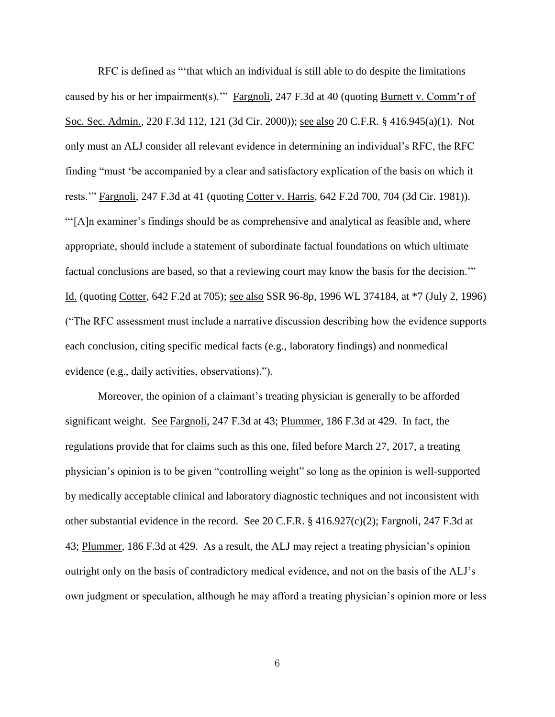RFC is defined as "'that which an individual is still able to do despite the limitations caused by his or her impairment(s).'" Fargnoli, 247 F.3d at 40 (quoting Burnett v. Comm'r of Soc. Sec. Admin., 220 F.3d 112, 121 (3d Cir. 2000)); see also 20 C.F.R. § 416.945(a)(1). Not only must an ALJ consider all relevant evidence in determining an individual's RFC, the RFC finding "must 'be accompanied by a clear and satisfactory explication of the basis on which it rests.'" Fargnoli, 247 F.3d at 41 (quoting Cotter v. Harris, 642 F.2d 700, 704 (3d Cir. 1981)). "'[A]n examiner's findings should be as comprehensive and analytical as feasible and, where appropriate, should include a statement of subordinate factual foundations on which ultimate factual conclusions are based, so that a reviewing court may know the basis for the decision.'" Id. (quoting Cotter, 642 F.2d at 705); see also SSR 96-8p, 1996 WL 374184, at \*7 (July 2, 1996) ("The RFC assessment must include a narrative discussion describing how the evidence supports each conclusion, citing specific medical facts (e.g., laboratory findings) and nonmedical evidence (e.g., daily activities, observations).").

Moreover, the opinion of a claimant's treating physician is generally to be afforded significant weight. See Fargnoli, 247 F.3d at 43; Plummer, 186 F.3d at 429. In fact, the regulations provide that for claims such as this one, filed before March 27, 2017, a treating physician's opinion is to be given "controlling weight" so long as the opinion is well-supported by medically acceptable clinical and laboratory diagnostic techniques and not inconsistent with other substantial evidence in the record. See 20 C.F.R. § 416.927(c)(2); Fargnoli, 247 F.3d at 43; Plummer, 186 F.3d at 429. As a result, the ALJ may reject a treating physician's opinion outright only on the basis of contradictory medical evidence, and not on the basis of the ALJ's own judgment or speculation, although he may afford a treating physician's opinion more or less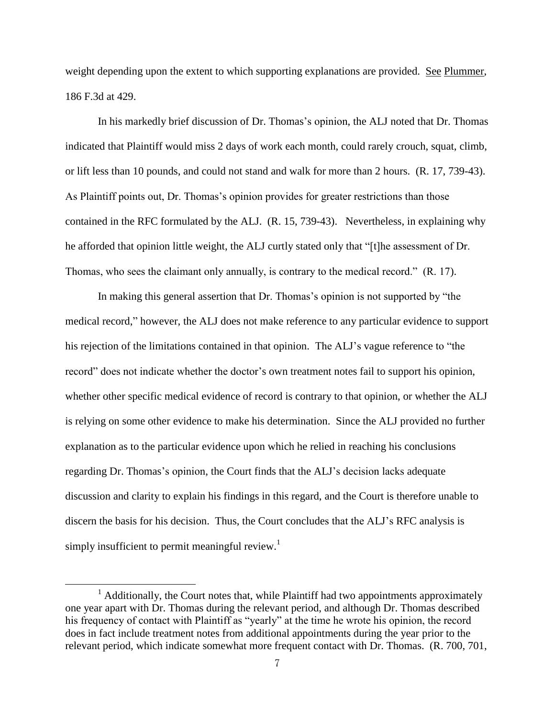weight depending upon the extent to which supporting explanations are provided. See Plummer, 186 F.3d at 429.

 In his markedly brief discussion of Dr. Thomas's opinion, the ALJ noted that Dr. Thomas indicated that Plaintiff would miss 2 days of work each month, could rarely crouch, squat, climb, or lift less than 10 pounds, and could not stand and walk for more than 2 hours. (R. 17, 739-43). As Plaintiff points out, Dr. Thomas's opinion provides for greater restrictions than those contained in the RFC formulated by the ALJ. (R. 15, 739-43). Nevertheless, in explaining why he afforded that opinion little weight, the ALJ curtly stated only that "[t]he assessment of Dr. Thomas, who sees the claimant only annually, is contrary to the medical record." (R. 17).

In making this general assertion that Dr. Thomas's opinion is not supported by "the medical record," however, the ALJ does not make reference to any particular evidence to support his rejection of the limitations contained in that opinion. The ALJ's vague reference to "the record" does not indicate whether the doctor's own treatment notes fail to support his opinion, whether other specific medical evidence of record is contrary to that opinion, or whether the ALJ is relying on some other evidence to make his determination. Since the ALJ provided no further explanation as to the particular evidence upon which he relied in reaching his conclusions regarding Dr. Thomas's opinion, the Court finds that the ALJ's decision lacks adequate discussion and clarity to explain his findings in this regard, and the Court is therefore unable to discern the basis for his decision. Thus, the Court concludes that the ALJ's RFC analysis is simply insufficient to permit meaningful review.<sup>1</sup>

 $\overline{a}$ 

<sup>&</sup>lt;sup>1</sup> Additionally, the Court notes that, while Plaintiff had two appointments approximately one year apart with Dr. Thomas during the relevant period, and although Dr. Thomas described his frequency of contact with Plaintiff as "yearly" at the time he wrote his opinion, the record does in fact include treatment notes from additional appointments during the year prior to the relevant period, which indicate somewhat more frequent contact with Dr. Thomas. (R. 700, 701,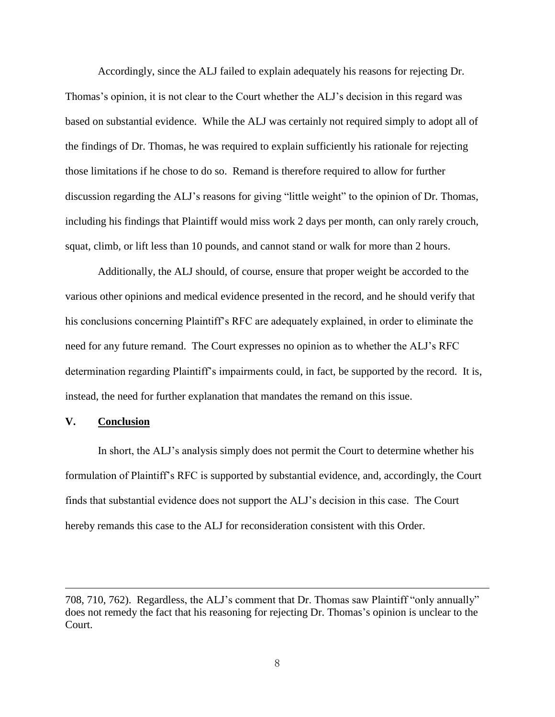Accordingly, since the ALJ failed to explain adequately his reasons for rejecting Dr. Thomas's opinion, it is not clear to the Court whether the ALJ's decision in this regard was based on substantial evidence. While the ALJ was certainly not required simply to adopt all of the findings of Dr. Thomas, he was required to explain sufficiently his rationale for rejecting those limitations if he chose to do so. Remand is therefore required to allow for further discussion regarding the ALJ's reasons for giving "little weight" to the opinion of Dr. Thomas, including his findings that Plaintiff would miss work 2 days per month, can only rarely crouch, squat, climb, or lift less than 10 pounds, and cannot stand or walk for more than 2 hours.

Additionally, the ALJ should, of course, ensure that proper weight be accorded to the various other opinions and medical evidence presented in the record, and he should verify that his conclusions concerning Plaintiff's RFC are adequately explained, in order to eliminate the need for any future remand. The Court expresses no opinion as to whether the ALJ's RFC determination regarding Plaintiff's impairments could, in fact, be supported by the record. It is, instead, the need for further explanation that mandates the remand on this issue.

## **V. Conclusion**

 $\overline{a}$ 

In short, the ALJ's analysis simply does not permit the Court to determine whether his formulation of Plaintiff's RFC is supported by substantial evidence, and, accordingly, the Court finds that substantial evidence does not support the ALJ's decision in this case. The Court hereby remands this case to the ALJ for reconsideration consistent with this Order.

<sup>708, 710, 762).</sup> Regardless, the ALJ's comment that Dr. Thomas saw Plaintiff "only annually" does not remedy the fact that his reasoning for rejecting Dr. Thomas's opinion is unclear to the Court.